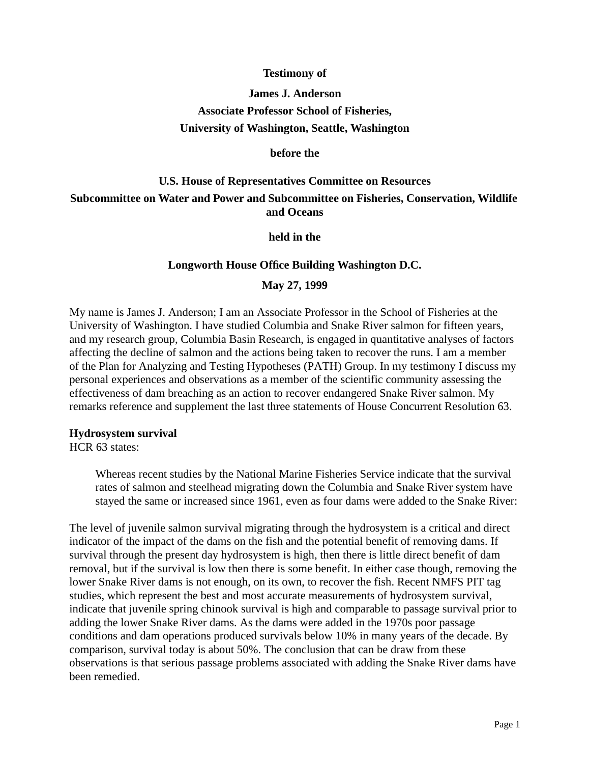## **Testimony of**

# **James J. Anderson Associate Professor School of Fisheries, University of Washington, Seattle, Washington**

#### **before the**

## **U.S. House of Representatives Committee on Resources Subcommittee on Water and Power and Subcommittee on Fisheries, Conservation, Wildlife and Oceans**

**held in the**

#### **Longworth House Office Building Washington D.C.**

#### **May 27, 1999**

My name is James J. Anderson; I am an Associate Professor in the School of Fisheries at the University of Washington. I have studied Columbia and Snake River salmon for fifteen years, and my research group, Columbia Basin Research, is engaged in quantitative analyses of factors affecting the decline of salmon and the actions being taken to recover the runs. I am a member of the Plan for Analyzing and Testing Hypotheses (PATH) Group. In my testimony I discuss my personal experiences and observations as a member of the scientific community assessing the effectiveness of dam breaching as an action to recover endangered Snake River salmon. My remarks reference and supplement the last three statements of House Concurrent Resolution 63.

#### **Hydrosystem survival**

HCR 63 states:

Whereas recent studies by the National Marine Fisheries Service indicate that the survival rates of salmon and steelhead migrating down the Columbia and Snake River system have stayed the same or increased since 1961, even as four dams were added to the Snake River:

The level of juvenile salmon survival migrating through the hydrosystem is a critical and direct indicator of the impact of the dams on the fish and the potential benefit of removing dams. If survival through the present day hydrosystem is high, then there is little direct benefit of dam removal, but if the survival is low then there is some benefit. In either case though, removing the lower Snake River dams is not enough, on its own, to recover the fish. Recent NMFS PIT tag studies, which represent the best and most accurate measurements of hydrosystem survival, indicate that juvenile spring chinook survival is high and comparable to passage survival prior to adding the lower Snake River dams. As the dams were added in the 1970s poor passage conditions and dam operations produced survivals below 10% in many years of the decade. By comparison, survival today is about 50%. The conclusion that can be draw from these observations is that serious passage problems associated with adding the Snake River dams have been remedied.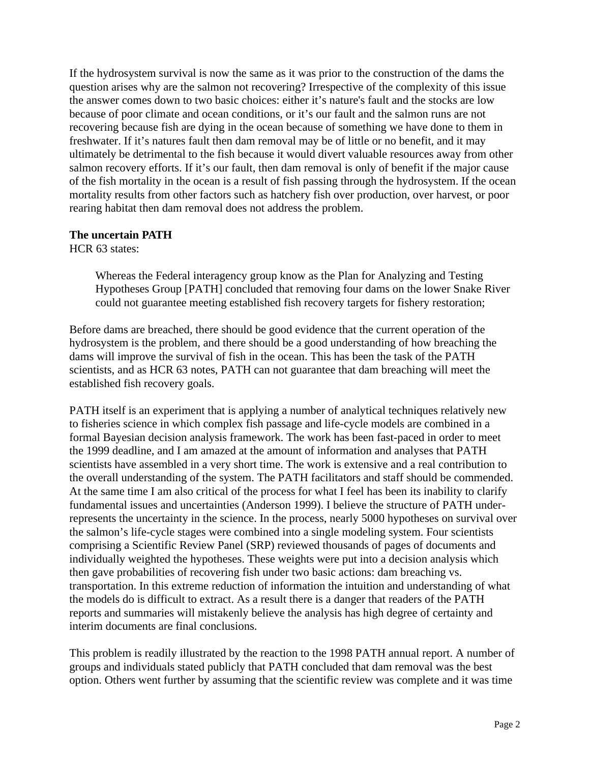If the hydrosystem survival is now the same as it was prior to the construction of the dams the question arises why are the salmon not recovering? Irrespective of the complexity of this issue the answer comes down to two basic choices: either it's nature's fault and the stocks are low because of poor climate and ocean conditions, or it's our fault and the salmon runs are not recovering because fish are dying in the ocean because of something we have done to them in freshwater. If it's natures fault then dam removal may be of little or no benefit, and it may ultimately be detrimental to the fish because it would divert valuable resources away from other salmon recovery efforts. If it's our fault, then dam removal is only of benefit if the major cause of the fish mortality in the ocean is a result of fish passing through the hydrosystem. If the ocean mortality results from other factors such as hatchery fish over production, over harvest, or poor rearing habitat then dam removal does not address the problem.

## **The uncertain PATH**

HCR 63 states:

Whereas the Federal interagency group know as the Plan for Analyzing and Testing Hypotheses Group [PATH] concluded that removing four dams on the lower Snake River could not guarantee meeting established fish recovery targets for fishery restoration;

Before dams are breached, there should be good evidence that the current operation of the hydrosystem is the problem, and there should be a good understanding of how breaching the dams will improve the survival of fish in the ocean. This has been the task of the PATH scientists, and as HCR 63 notes, PATH can not guarantee that dam breaching will meet the established fish recovery goals.

PATH itself is an experiment that is applying a number of analytical techniques relatively new to fisheries science in which complex fish passage and life-cycle models are combined in a formal Bayesian decision analysis framework. The work has been fast-paced in order to meet the 1999 deadline, and I am amazed at the amount of information and analyses that PATH scientists have assembled in a very short time. The work is extensive and a real contribution to the overall understanding of the system. The PATH facilitators and staff should be commended. At the same time I am also critical of the process for what I feel has been its inability to clarify fundamental issues and uncertainties (Anderson 1999). I believe the structure of PATH underrepresents the uncertainty in the science. In the process, nearly 5000 hypotheses on survival over the salmon's life-cycle stages were combined into a single modeling system. Four scientists comprising a Scientific Review Panel (SRP) reviewed thousands of pages of documents and individually weighted the hypotheses. These weights were put into a decision analysis which then gave probabilities of recovering fish under two basic actions: dam breaching vs. transportation. In this extreme reduction of information the intuition and understanding of what the models do is difficult to extract. As a result there is a danger that readers of the PATH reports and summaries will mistakenly believe the analysis has high degree of certainty and interim documents are final conclusions.

This problem is readily illustrated by the reaction to the 1998 PATH annual report. A number of groups and individuals stated publicly that PATH concluded that dam removal was the best option. Others went further by assuming that the scientific review was complete and it was time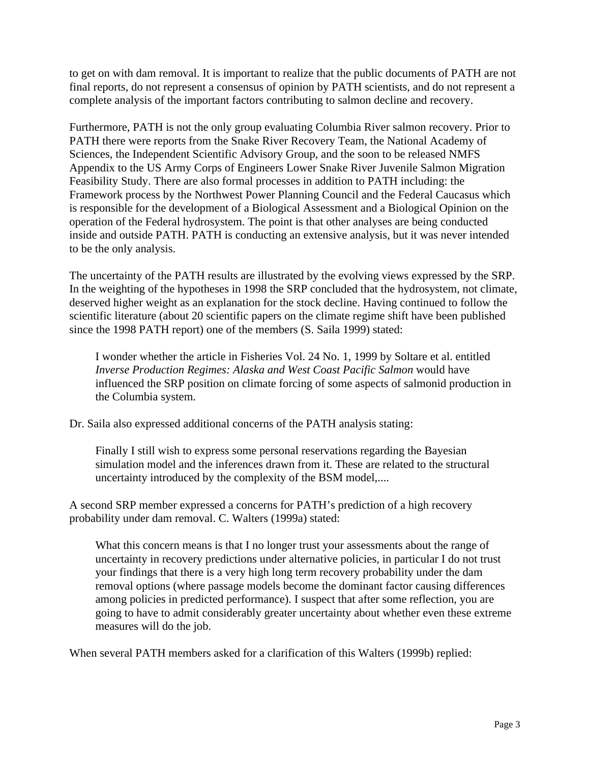to get on with dam removal. It is important to realize that the public documents of PATH are not final reports, do not represent a consensus of opinion by PATH scientists, and do not represent a complete analysis of the important factors contributing to salmon decline and recovery.

Furthermore, PATH is not the only group evaluating Columbia River salmon recovery. Prior to PATH there were reports from the Snake River Recovery Team, the National Academy of Sciences, the Independent Scientific Advisory Group, and the soon to be released NMFS Appendix to the US Army Corps of Engineers Lower Snake River Juvenile Salmon Migration Feasibility Study. There are also formal processes in addition to PATH including: the Framework process by the Northwest Power Planning Council and the Federal Caucasus which is responsible for the development of a Biological Assessment and a Biological Opinion on the operation of the Federal hydrosystem. The point is that other analyses are being conducted inside and outside PATH. PATH is conducting an extensive analysis, but it was never intended to be the only analysis.

The uncertainty of the PATH results are illustrated by the evolving views expressed by the SRP. In the weighting of the hypotheses in 1998 the SRP concluded that the hydrosystem, not climate, deserved higher weight as an explanation for the stock decline. Having continued to follow the scientific literature (about 20 scientific papers on the climate regime shift have been published since the 1998 PATH report) one of the members (S. Saila 1999) stated:

I wonder whether the article in Fisheries Vol. 24 No. 1, 1999 by Soltare et al. entitled *Inverse Production Regimes: Alaska and West Coast Pacific Salmon* would have influenced the SRP position on climate forcing of some aspects of salmonid production in the Columbia system.

Dr. Saila also expressed additional concerns of the PATH analysis stating:

Finally I still wish to express some personal reservations regarding the Bayesian simulation model and the inferences drawn from it. These are related to the structural uncertainty introduced by the complexity of the BSM model,....

A second SRP member expressed a concerns for PATH's prediction of a high recovery probability under dam removal. C. Walters (1999a) stated:

What this concern means is that I no longer trust your assessments about the range of uncertainty in recovery predictions under alternative policies, in particular I do not trust your findings that there is a very high long term recovery probability under the dam removal options (where passage models become the dominant factor causing differences among policies in predicted performance). I suspect that after some reflection, you are going to have to admit considerably greater uncertainty about whether even these extreme measures will do the job.

When several PATH members asked for a clarification of this Walters (1999b) replied: